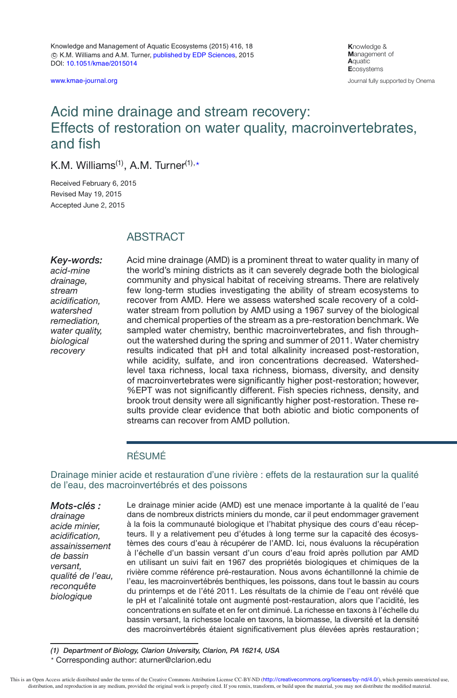Knowledge and Management of Aquatic Ecosystems (2015) 416, 18 -c K.M. Williams and A.M. Turner, [published by EDP Sciences,](http://www.edpsciences.org) 2015 DOI: [10.1051/kmae/2015014](http://dx.doi.org/10.1051/kmae/2015014)

[www.kmae-journal.org](http://www.kmae-journal.org)

**K**nowledge & **M**anagement of **A**quatic **E**cosystems Journal fully supported by Onema

# Acid mine drainage and stream recovery: Effects of restoration on water quality, macroinvertebrates, and fish

K.M. Williams<sup>(1)</sup>, A.M. Turner<sup>(1),  $\star$ </sup>

Received February 6, 2015 Revised May 19, 2015 Accepted June 2, 2015

### ABSTRACT

*Key-words: acid-mine drainage, stream acidification, watershed remediation, water quality, biological recovery*

Acid mine drainage (AMD) is a prominent threat to water quality in many of the world's mining districts as it can severely degrade both the biological community and physical habitat of receiving streams. There are relatively few long-term studies investigating the ability of stream ecosystems to recover from AMD. Here we assess watershed scale recovery of a coldwater stream from pollution by AMD using a 1967 survey of the biological and chemical properties of the stream as a pre-restoration benchmark. We sampled water chemistry, benthic macroinvertebrates, and fish throughout the watershed during the spring and summer of 2011. Water chemistry results indicated that pH and total alkalinity increased post-restoration, while acidity, sulfate, and iron concentrations decreased. Watershedlevel taxa richness, local taxa richness, biomass, diversity, and density of macroinvertebrates were significantly higher post-restoration; however, %EPT was not significantly different. Fish species richness, density, and brook trout density were all significantly higher post-restoration. These results provide clear evidence that both abiotic and biotic components of streams can recover from AMD pollution.

### RÉSUMÉ

Drainage minier acide et restauration d'une rivière : effets de la restauration sur la qualité de l'eau, des macroinvertébrés et des poissons

*Mots-clés : drainage acide minier, acidification, assainissement de bassin versant, qualité de l'eau, reconquête biologique*

Le drainage minier acide (AMD) est une menace importante à la qualité de l'eau dans de nombreux districts miniers du monde, car il peut endommager gravement à la fois la communauté biologique et l'habitat physique des cours d'eau récepteurs. Il y a relativement peu d'études à long terme sur la capacité des écosystèmes des cours d'eau à récupérer de l'AMD. Ici, nous évaluons la récupération à l'échelle d'un bassin versant d'un cours d'eau froid après pollution par AMD en utilisant un suivi fait en 1967 des propriétés biologiques et chimiques de la rivière comme référence pré-restauration. Nous avons échantillonné la chimie de l'eau, les macroinvertébrés benthiques, les poissons, dans tout le bassin au cours du printemps et de l'été 2011. Les résultats de la chimie de l'eau ont révélé que le pH et l'alcalinité totale ont augmenté post-restauration, alors que l'acidité, les concentrations en sulfate et en fer ont diminué. La richesse en taxons à l'échelle du bassin versant, la richesse locale en taxons, la biomasse, la diversité et la densité des macroinvertébrés étaient significativement plus élevées après restauration ;

*(1) Department of Biology, Clarion University, Clarion, PA 16214, USA*

- Corresponding author: aturner@clarion.edu

This is an Open Access article distributed under the terms of the Creative Commons Attribution License CC-BY-ND (<http://creativecommons.org/licenses/by-nd/4.0/>), which permits unrestricted use, distribution, and reproduction in any medium, provided the original work is properly cited. If you remix, transform, or build upon the material, you may not distribute the modified material.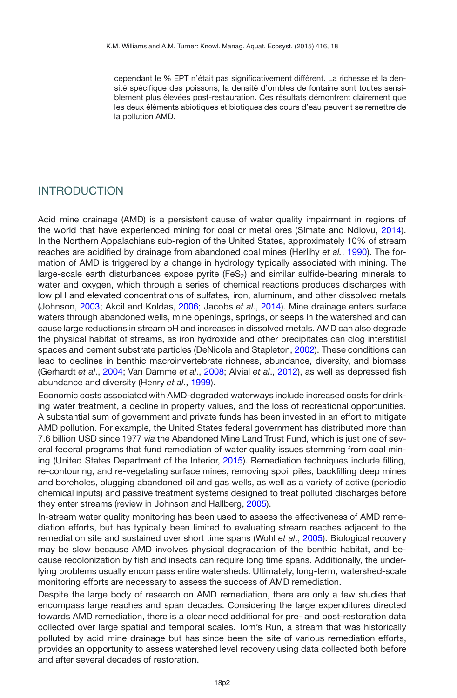cependant le % EPT n'était pas significativement différent. La richesse et la densité spécifique des poissons, la densité d'ombles de fontaine sont toutes sensiblement plus élevées post-restauration. Ces résultats démontrent clairement que les deux éléments abiotiques et biotiques des cours d'eau peuvent se remettre de la pollution AMD.

### INTRODUCTION

Acid mine drainage (AMD) is a persistent cause of water quality impairment in regions of the world that have experienced mining for coal or metal ores (Simate and Ndlovu, [2014](#page-10-0)). In the Northern Appalachians sub-region of the United States, approximately 10% of stream reaches are acidified by drainage from abandoned coal mines (Herlihy *et al.*, [1990\)](#page-10-1). The formation of AMD is triggered by a change in hydrology typically associated with mining. The large-scale earth disturbances expose pyrite  $(F \in S_2)$  and similar sulfide-bearing minerals to water and oxygen, which through a series of chemical reactions produces discharges with low pH and elevated concentrations of sulfates, iron, aluminum, and other dissolved metals (Johnson, [2003](#page-10-2); Akcil and Koldas, [2006;](#page-9-0) Jacobs *et al*., [2014\)](#page-10-3). Mine drainage enters surface waters through abandoned wells, mine openings, springs, or seeps in the watershed and can cause large reductions in stream pH and increases in dissolved metals. AMD can also degrade the physical habitat of streams, as iron hydroxide and other precipitates can clog interstitial spaces and cement substrate particles (DeNicola and Stapleton, [2002](#page-9-1)). These conditions can lead to declines in benthic macroinvertebrate richness, abundance, diversity, and biomass (Gerhardt *et al*., [2004](#page-9-2); Van Damme *et al*., [2008](#page-11-0); Alvial *et al*., [2012](#page-9-3)), as well as depressed fish abundance and diversity (Henry *et al*., [1999](#page-9-4)).

Economic costs associated with AMD-degraded waterways include increased costs for drinking water treatment, a decline in property values, and the loss of recreational opportunities. A substantial sum of government and private funds has been invested in an effort to mitigate AMD pollution. For example, the United States federal government has distributed more than 7.6 billion USD since 1977 *via* the Abandoned Mine Land Trust Fund, which is just one of several federal programs that fund remediation of water quality issues stemming from coal mining (United States Department of the Interior, [2015](#page-11-1)). Remediation techniques include filling, re-contouring, and re-vegetating surface mines, removing spoil piles, backfilling deep mines and boreholes, plugging abandoned oil and gas wells, as well as a variety of active (periodic chemical inputs) and passive treatment systems designed to treat polluted discharges before they enter streams (review in Johnson and Hallberg, [2005\)](#page-10-4).

In-stream water quality monitoring has been used to assess the effectiveness of AMD remediation efforts, but has typically been limited to evaluating stream reaches adjacent to the remediation site and sustained over short time spans (Wohl *et al*., [2005](#page-11-2)). Biological recovery may be slow because AMD involves physical degradation of the benthic habitat, and because recolonization by fish and insects can require long time spans. Additionally, the underlying problems usually encompass entire watersheds. Ultimately, long-term, watershed-scale monitoring efforts are necessary to assess the success of AMD remediation.

Despite the large body of research on AMD remediation, there are only a few studies that encompass large reaches and span decades. Considering the large expenditures directed towards AMD remediation, there is a clear need additional for pre- and post-restoration data collected over large spatial and temporal scales. Tom's Run, a stream that was historically polluted by acid mine drainage but has since been the site of various remediation efforts, provides an opportunity to assess watershed level recovery using data collected both before and after several decades of restoration.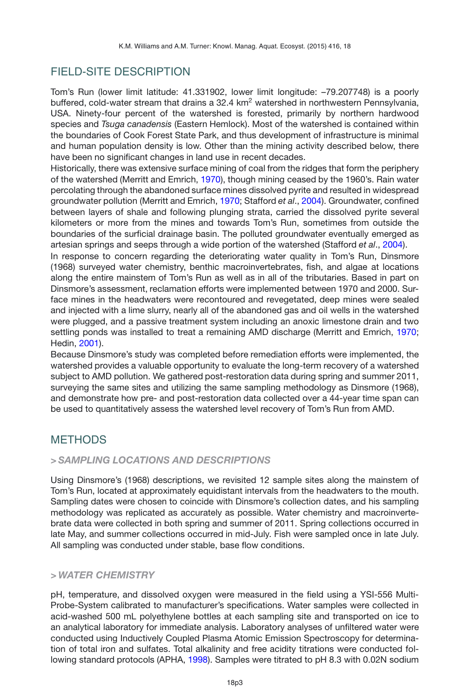## FIELD-SITE DESCRIPTION

Tom's Run (lower limit latitude: 41.331902, lower limit longitude: –79.207748) is a poorly buffered, cold-water stream that drains a 32.4 km<sup>2</sup> watershed in northwestern Pennsylvania, USA. Ninety-four percent of the watershed is forested, primarily by northern hardwood species and *Tsuga canadensis* (Eastern Hemlock). Most of the watershed is contained within the boundaries of Cook Forest State Park, and thus development of infrastructure is minimal and human population density is low. Other than the mining activity described below, there have been no significant changes in land use in recent decades.

Historically, there was extensive surface mining of coal from the ridges that form the periphery of the watershed (Merritt and Emrich, [1970](#page-10-5)), though mining ceased by the 1960's. Rain water percolating through the abandoned surface mines dissolved pyrite and resulted in widespread groundwater pollution (Merritt and Emrich, [1970;](#page-10-5) Stafford *et al*., [2004](#page-10-6)). Groundwater, confined between layers of shale and following plunging strata, carried the dissolved pyrite several kilometers or more from the mines and towards Tom's Run, sometimes from outside the boundaries of the surficial drainage basin. The polluted groundwater eventually emerged as artesian springs and seeps through a wide portion of the watershed (Stafford *et al*., [2004\)](#page-10-6).

In response to concern regarding the deteriorating water quality in Tom's Run, Dinsmore (1968) surveyed water chemistry, benthic macroinvertebrates, fish, and algae at locations along the entire mainstem of Tom's Run as well as in all of the tributaries. Based in part on Dinsmore's assessment, reclamation efforts were implemented between 1970 and 2000. Surface mines in the headwaters were recontoured and revegetated, deep mines were sealed and injected with a lime slurry, nearly all of the abandoned gas and oil wells in the watershed were plugged, and a passive treatment system including an anoxic limestone drain and two settling ponds was installed to treat a remaining AMD discharge (Merritt and Emrich, [1970;](#page-10-5) Hedin, [2001\)](#page-9-5).

Because Dinsmore's study was completed before remediation efforts were implemented, the watershed provides a valuable opportunity to evaluate the long-term recovery of a watershed subject to AMD pollution. We gathered post-restoration data during spring and summer 2011, surveying the same sites and utilizing the same sampling methodology as Dinsmore (1968), and demonstrate how pre- and post-restoration data collected over a 44-year time span can be used to quantitatively assess the watershed level recovery of Tom's Run from AMD.

## METHODS

### *> SAMPLING LOCATIONS AND DESCRIPTIONS*

Using Dinsmore's (1968) descriptions, we revisited 12 sample sites along the mainstem of Tom's Run, located at approximately equidistant intervals from the headwaters to the mouth. Sampling dates were chosen to coincide with Dinsmore's collection dates, and his sampling methodology was replicated as accurately as possible. Water chemistry and macroinvertebrate data were collected in both spring and summer of 2011. Spring collections occurred in late May, and summer collections occurred in mid-July. Fish were sampled once in late July. All sampling was conducted under stable, base flow conditions.

### *> WATER CHEMISTRY*

pH, temperature, and dissolved oxygen were measured in the field using a YSI-556 Multi-Probe-System calibrated to manufacturer's specifications. Water samples were collected in acid-washed 500 mL polyethylene bottles at each sampling site and transported on ice to an analytical laboratory for immediate analysis. Laboratory analyses of unfiltered water were conducted using Inductively Coupled Plasma Atomic Emission Spectroscopy for determination of total iron and sulfates. Total alkalinity and free acidity titrations were conducted fol-lowing standard protocols (APHA, [1998\)](#page-9-6). Samples were titrated to pH 8.3 with 0.02N sodium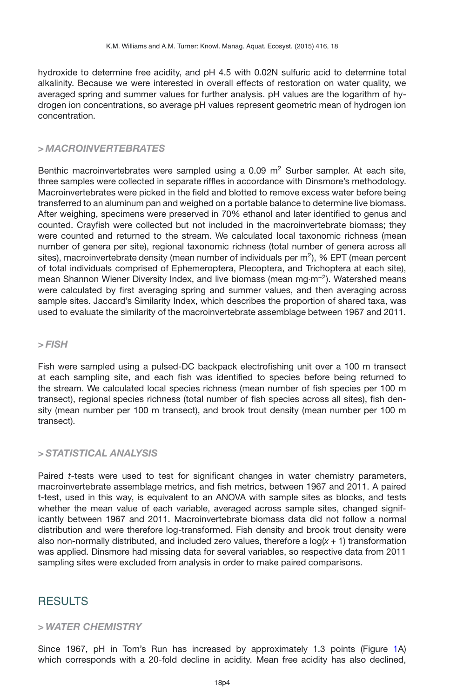hydroxide to determine free acidity, and pH 4.5 with 0.02N sulfuric acid to determine total alkalinity. Because we were interested in overall effects of restoration on water quality, we averaged spring and summer values for further analysis. pH values are the logarithm of hydrogen ion concentrations, so average pH values represent geometric mean of hydrogen ion concentration.

### *> MACROINVERTEBRATES*

Benthic macroinvertebrates were sampled using a 0.09  $m<sup>2</sup>$  Surber sampler. At each site, three samples were collected in separate riffles in accordance with Dinsmore's methodology. Macroinvertebrates were picked in the field and blotted to remove excess water before being transferred to an aluminum pan and weighed on a portable balance to determine live biomass. After weighing, specimens were preserved in 70% ethanol and later identified to genus and counted. Crayfish were collected but not included in the macroinvertebrate biomass; they were counted and returned to the stream. We calculated local taxonomic richness (mean number of genera per site), regional taxonomic richness (total number of genera across all sites), macroinvertebrate density (mean number of individuals per  $m^2$ ), % EPT (mean percent of total individuals comprised of Ephemeroptera, Plecoptera, and Trichoptera at each site), mean Shannon Wiener Diversity Index, and live biomass (mean mg·m<sup>-2</sup>). Watershed means were calculated by first averaging spring and summer values, and then averaging across sample sites. Jaccard's Similarity Index, which describes the proportion of shared taxa, was used to evaluate the similarity of the macroinvertebrate assemblage between 1967 and 2011.

### *> FISH*

Fish were sampled using a pulsed-DC backpack electrofishing unit over a 100 m transect at each sampling site, and each fish was identified to species before being returned to the stream. We calculated local species richness (mean number of fish species per 100 m transect), regional species richness (total number of fish species across all sites), fish density (mean number per 100 m transect), and brook trout density (mean number per 100 m transect).

### *> STATISTICAL ANALYSIS*

Paired *t*-tests were used to test for significant changes in water chemistry parameters, macroinvertebrate assemblage metrics, and fish metrics, between 1967 and 2011. A paired t-test, used in this way, is equivalent to an ANOVA with sample sites as blocks, and tests whether the mean value of each variable, averaged across sample sites, changed significantly between 1967 and 2011. Macroinvertebrate biomass data did not follow a normal distribution and were therefore log-transformed. Fish density and brook trout density were also non-normally distributed, and included zero values, therefore a  $log(x + 1)$  transformation was applied. Dinsmore had missing data for several variables, so respective data from 2011 sampling sites were excluded from analysis in order to make paired comparisons.

## **RESULTS**

### *> WATER CHEMISTRY*

Since 1967, pH in Tom's Run has increased by approximately 1.3 points (Figure [1A](#page-4-0)) which corresponds with a 20-fold decline in acidity. Mean free acidity has also declined,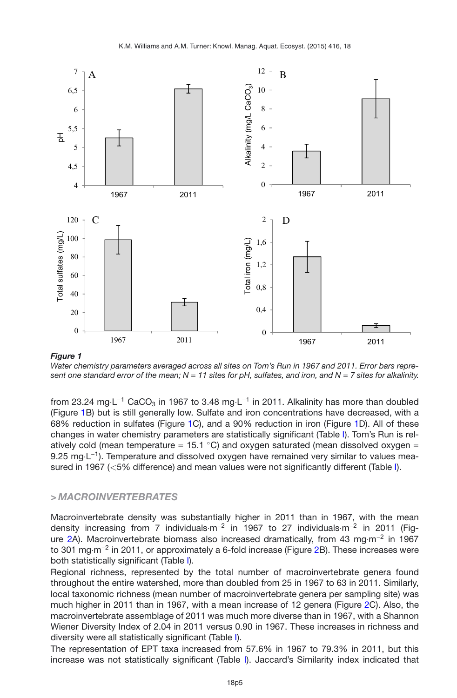

#### <span id="page-4-0"></span>*Figure 1*

*Water chemistry parameters averaged across all sites on Tom's Run in 1967 and 2011. Error bars represent one standard error of the mean; N* = *11 sites for pH, sulfates, and iron, and N* = *7 sites for alkalinity.*

from 23.24 mg·L<sup>-1</sup> CaCO<sub>3</sub> in 1967 to 3.48 mg·L<sup>-1</sup> in 2011. Alkalinity has more than doubled (Figure [1B](#page-4-0)) but is still generally low. Sulfate and iron concentrations have decreased, with a 68% reduction in sulfates (Figure [1C](#page-4-0)), and a 90% reduction in iron (Figure [1D](#page-4-0)). All of these changes in water chemistry parameters are statistically significant (Table [I\)](#page-5-0). Tom's Run is relatively cold (mean temperature = 15.1  $°C$ ) and oxygen saturated (mean dissolved oxygen = 9.25 mg·L<sup>-1</sup>). Temperature and dissolved oxygen have remained very similar to values measured in 1967 (*<*5% difference) and mean values were not significantly different (Table [I\)](#page-5-0).

### *> MACROINVERTEBRATES*

Macroinvertebrate density was substantially higher in 2011 than in 1967, with the mean density increasing from 7 individuals·m−<sup>2</sup> in 1967 to 27 individuals·m−<sup>2</sup> in 2011 (Figure [2A](#page-5-1)). Macroinvertebrate biomass also increased dramatically, from 43 mg·m−<sup>2</sup> in 1967 to 301 mg·m−<sup>2</sup> in 2011, or approximately a 6-fold increase (Figure [2B](#page-5-1)). These increases were both statistically significant (Table [I\)](#page-5-0).

Regional richness, represented by the total number of macroinvertebrate genera found throughout the entire watershed, more than doubled from 25 in 1967 to 63 in 2011. Similarly, local taxonomic richness (mean number of macroinvertebrate genera per sampling site) was much higher in 2011 than in 1967, with a mean increase of 12 genera (Figure [2C](#page-5-1)). Also, the macroinvertebrate assemblage of 2011 was much more diverse than in 1967, with a Shannon Wiener Diversity Index of 2.04 in 2011 versus 0.90 in 1967. These increases in richness and diversity were all statistically significant (Table [I\)](#page-5-0).

The representation of EPT taxa increased from 57.6% in 1967 to 79.3% in 2011, but this increase was not statistically significant (Table [I\)](#page-5-0). Jaccard's Similarity index indicated that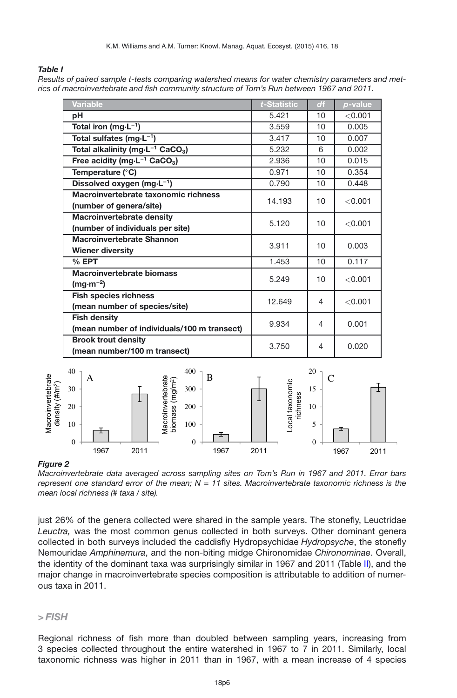#### <span id="page-5-0"></span>*Table I*

*Results of paired sample t-tests comparing watershed means for water chemistry parameters and metrics of macroinvertebrate and fish community structure of Tom's Run between 1967 and 2011.*

|                             | <b>Variable</b>                                                                                                     | t-Statistic                | df                           | p-value   |
|-----------------------------|---------------------------------------------------------------------------------------------------------------------|----------------------------|------------------------------|-----------|
|                             | рH                                                                                                                  | 5.421                      | 10                           | $<$ 0.001 |
|                             | Total iron (mg $\cdot L^{-1}$ )                                                                                     | 3.559                      | 10                           | 0.005     |
|                             | Total sulfates (mg $\cdot L^{-1}$ )                                                                                 | 3.417                      | 10                           | 0.007     |
|                             | Total alkalinity (mg $\cdot$ L <sup>-1</sup> CaCO <sub>3</sub> )                                                    | 5.232                      | 6                            | 0.002     |
|                             | Free acidity (mg $\cdot$ L <sup>-1</sup> CaCO <sub>3</sub> )                                                        | 2.936                      | 10                           | 0.015     |
|                             | Temperature (°C)                                                                                                    | 0.971                      | 10                           | 0.354     |
|                             | Dissolved oxygen $(mg \cdot L^{-1})$                                                                                | 0.790                      | 10                           | 0.448     |
|                             | Macroinvertebrate taxonomic richness<br>(number of genera/site)                                                     | 14.193                     | 10                           | < 0.001   |
|                             | <b>Macroinvertebrate density</b><br>(number of individuals per site)                                                | 5.120                      | 10                           | < 0.001   |
|                             | <b>Macroinvertebrate Shannon</b><br><b>Wiener diversity</b>                                                         | 3.911                      | 10                           | 0.003     |
|                             | $%$ EPT                                                                                                             | 1.453                      | 10                           | 0.117     |
|                             | Macroinvertebrate biomass<br>( $mg \cdot m^{-2}$ )                                                                  | 5.249                      | 10                           | $<$ 0.001 |
|                             | <b>Fish species richness</b><br>(mean number of species/site)                                                       | 12.649                     | 4                            | $<$ 0.001 |
|                             | <b>Fish density</b><br>(mean number of individuals/100 m transect)                                                  | 9.934                      | 4                            | 0.001     |
|                             | <b>Brook trout density</b><br>(mean number/100 m transect)                                                          | 3.750                      | 4                            | 0.020     |
| density (#/m <sup>2</sup> ) | 40<br>400<br>B<br>A<br>Macroinvertebrate<br>biomass (mg/m <sup>2</sup> )<br>300<br>30<br>$20\,$<br>200<br>100<br>10 | Local taxonomic<br>ichness | 20<br>C<br>15<br>$10\,$<br>5 |           |

#### *Figure 2*

Macroinvertebrate

Macroinvertebrate

 $\Omega$ 

1967 2011

*Macroinvertebrate data averaged across sampling sites on Tom's Run in 1967 and 2011. Error bars represent one standard error of the mean; N* = *11 sites. Macroinvertebrate taxonomic richness is the mean local richness (# taxa / site).*

1967 2011

<span id="page-5-1"></span> $\mathbf 0$ 

1967 2011

 $\boldsymbol{0}$ 

just 26% of the genera collected were shared in the sample years. The stonefly, Leuctridae *Leuctra,* was the most common genus collected in both surveys. Other dominant genera collected in both surveys included the caddisfly Hydropsychidae *Hydropsyche*, the stonefly Nemouridae *Amphinemura*, and the non-biting midge Chironomidae *Chironominae*. Overall, the identity of the dominant taxa was surprisingly similar in 1967 and 2011 (Table [II\)](#page-6-0), and the major change in macroinvertebrate species composition is attributable to addition of numerous taxa in 2011.

#### *> FISH*

Regional richness of fish more than doubled between sampling years, increasing from 3 species collected throughout the entire watershed in 1967 to 7 in 2011. Similarly, local taxonomic richness was higher in 2011 than in 1967, with a mean increase of 4 species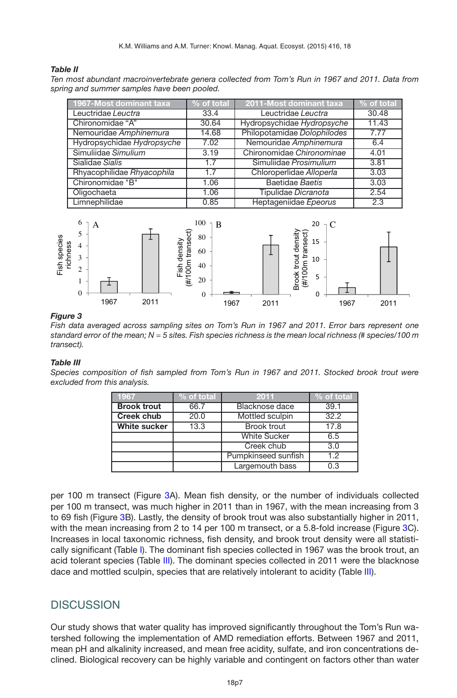#### <span id="page-6-0"></span>*Table II*

*Ten most abundant macroinvertebrate genera collected from Tom's Run in 1967 and 2011. Data from spring and summer samples have been pooled.*

<span id="page-6-1"></span>

| 1967-Most dominant taxa    | % of total | 2011-Most dominant taxa     | % of total |
|----------------------------|------------|-----------------------------|------------|
| Leuctridae Leuctra         | 33.4       | Leuctridae Leuctra          | 30.48      |
| Chironomidae "A"           | 30.64      | Hydropsychidae Hydropsyche  | 11.43      |
| Nemouridae Amphinemura     | 14.68      | Philopotamidae Dolophilodes | 7.77       |
| Hydropsychidae Hydropsyche | 7.02       | Nemouridae Amphinemura      | 6.4        |
| Simuliidae Simulium        | 3.19       | Chironomidae Chironominae   | 4.01       |
| Sialidae Sialis            | 17         | Simuliidae Prosimulium      | 3.81       |
| Rhyacophilidae Rhyacophila | 1.7        | Chloroperlidae Alloperla    | 3.03       |
| Chironomidae "B"           | 1.06       | <b>Baetidae Baetis</b>      | 3.03       |
| Oligochaeta                | 1.06       | Tipulidae Dicranota         | 2.54       |
| Limnephilidae              | 0.85       | Heptageniidae Epeorus       | 2.3        |



#### *Figure 3*

*Fish data averaged across sampling sites on Tom's Run in 1967 and 2011. Error bars represent one standard error of the mean; N* = *5 sites. Fish species richness is the mean local richness (# species/100 m transect).*

#### <span id="page-6-2"></span>*Table III*

*Species composition of fish sampled from Tom's Run in 1967 and 2011. Stocked brook trout were excluded from this analysis.*

| 1967                | $%$ of total | 2011                | $\%$ of total    |
|---------------------|--------------|---------------------|------------------|
| <b>Brook trout</b>  | 66.7         | Blacknose dace      | 39.1             |
| <b>Creek chub</b>   | 20.0         | Mottled sculpin     | 32.2             |
| <b>White sucker</b> | 13.3         | <b>Brook trout</b>  | 17.8             |
|                     |              | <b>White Sucker</b> | 6.5              |
|                     |              | Creek chub          | $\overline{3.0}$ |
|                     |              | Pumpkinseed sunfish | 1.2              |
|                     |              | Largemouth bass     | 0.3              |

per 100 m transect (Figure [3A](#page-6-1)). Mean fish density, or the number of individuals collected per 100 m transect, was much higher in 2011 than in 1967, with the mean increasing from 3 to 69 fish (Figure [3B](#page-6-1)). Lastly, the density of brook trout was also substantially higher in 2011, with the mean increasing from 2 to 14 per 100 m transect, or a 5.8-fold increase (Figure [3C](#page-6-1)). Increases in local taxonomic richness, fish density, and brook trout density were all statistically significant (Table [I\)](#page-5-0). The dominant fish species collected in 1967 was the brook trout, an acid tolerant species (Table [III\)](#page-6-2). The dominant species collected in 2011 were the blacknose dace and mottled sculpin, species that are relatively intolerant to acidity (Table [III\)](#page-6-2).

### **DISCUSSION**

Our study shows that water quality has improved significantly throughout the Tom's Run watershed following the implementation of AMD remediation efforts. Between 1967 and 2011, mean pH and alkalinity increased, and mean free acidity, sulfate, and iron concentrations declined. Biological recovery can be highly variable and contingent on factors other than water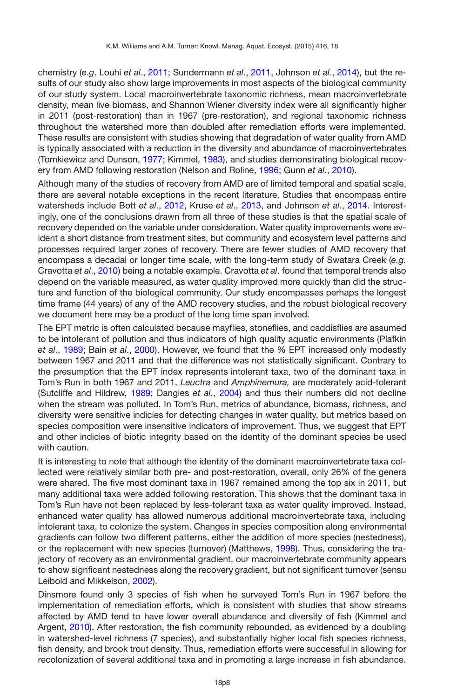chemistry (*e*.*g*. Louhi *et al*., [2011;](#page-10-7) Sundermann *et al*., [2011](#page-10-8), Johnson *et al.*, [2014\)](#page-10-9), but the results of our study also show large improvements in most aspects of the biological community of our study system. Local macroinvertebrate taxonomic richness, mean macroinvertebrate density, mean live biomass, and Shannon Wiener diversity index were all significantly higher in 2011 (post-restoration) than in 1967 (pre-restoration), and regional taxonomic richness throughout the watershed more than doubled after remediation efforts were implemented. These results are consistent with studies showing that degradation of water quality from AMD is typically associated with a reduction in the diversity and abundance of macroinvertebrates (Tomkiewicz and Dunson, [1977;](#page-10-10) Kimmel, [1983\)](#page-10-11), and studies demonstrating biological recovery from AMD following restoration (Nelson and Roline, [1996](#page-10-12); Gunn *et al*., [2010\)](#page-9-7).

Although many of the studies of recovery from AMD are of limited temporal and spatial scale, there are several notable exceptions in the recent literature. Studies that encompass entire watersheds include Bott *et al*., [2012,](#page-9-8) Kruse *et al*., [2013,](#page-10-13) and Johnson *et al*., [2014](#page-10-9). Interestingly, one of the conclusions drawn from all three of these studies is that the spatial scale of recovery depended on the variable under consideration. Water quality improvements were evident a short distance from treatment sites, but community and ecosystem level patterns and processes required larger zones of recovery. There are fewer studies of AMD recovery that encompass a decadal or longer time scale, with the long-term study of Swatara Creek (*e.g.* Cravotta *et al*., [2010\)](#page-9-9) being a notable example. Cravotta *et al*. found that temporal trends also depend on the variable measured, as water quality improved more quickly than did the structure and function of the biological community. Our study encompasses perhaps the longest time frame (44 years) of any of the AMD recovery studies, and the robust biological recovery we document here may be a product of the long time span involved.

The EPT metric is often calculated because mayflies, stoneflies, and caddisflies are assumed to be intolerant of pollution and thus indicators of high quality aquatic environments (Plafkin *et al*., [1989;](#page-10-14) Bain *et al*., [2000\)](#page-9-10). However, we found that the % EPT increased only modestly between 1967 and 2011 and that the difference was not statistically significant. Contrary to the presumption that the EPT index represents intolerant taxa, two of the dominant taxa in Tom's Run in both 1967 and 2011, *Leuctra* and *Amphinemura,* are moderately acid-tolerant (Sutcliffe and Hildrew, [1989](#page-10-15); Dangles *et al*., [2004](#page-9-11)) and thus their numbers did not decline when the stream was polluted. In Tom's Run, metrics of abundance, biomass, richness, and diversity were sensitive indicies for detecting changes in water quality, but metrics based on species composition were insensitive indicators of improvement. Thus, we suggest that EPT and other indicies of biotic integrity based on the identity of the dominant species be used with caution.

It is interesting to note that although the identity of the dominant macroinvertebrate taxa collected were relatively similar both pre- and post-restoration, overall, only 26% of the genera were shared. The five most dominant taxa in 1967 remained among the top six in 2011, but many additional taxa were added following restoration. This shows that the dominant taxa in Tom's Run have not been replaced by less-tolerant taxa as water quality improved. Instead, enhanced water quality has allowed numerous additional macroinvertebrate taxa, including intolerant taxa, to colonize the system. Changes in species composition along environmental gradients can follow two different patterns, either the addition of more species (nestedness), or the replacement with new species (turnover) (Matthews, [1998\)](#page-10-16). Thus, considering the trajectory of recovery as an environmental gradient, our macroinvertebrate community appears to show signficant nestedness along the recovery gradient, but not significant turnover (sensu Leibold and Mikkelson, [2002](#page-10-17)).

Dinsmore found only 3 species of fish when he surveyed Tom's Run in 1967 before the implementation of remediation efforts, which is consistent with studies that show streams affected by AMD tend to have lower overall abundance and diversity of fish (Kimmel and Argent, [2010\)](#page-10-18). After restoration, the fish community rebounded, as evidenced by a doubling in watershed-level richness (7 species), and substantially higher local fish species richness, fish density, and brook trout density. Thus, remediation efforts were successful in allowing for recolonization of several additional taxa and in promoting a large increase in fish abundance.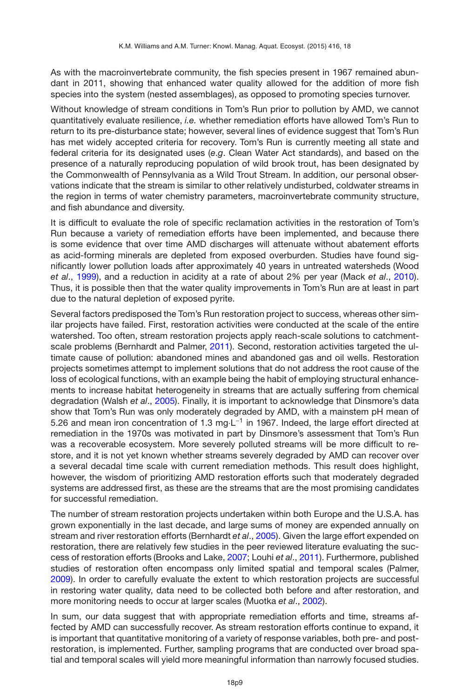As with the macroinvertebrate community, the fish species present in 1967 remained abundant in 2011, showing that enhanced water quality allowed for the addition of more fish species into the system (nested assemblages), as opposed to promoting species turnover.

Without knowledge of stream conditions in Tom's Run prior to pollution by AMD, we cannot quantitatively evaluate resilience, *i.e.* whether remediation efforts have allowed Tom's Run to return to its pre-disturbance state; however, several lines of evidence suggest that Tom's Run has met widely accepted criteria for recovery. Tom's Run is currently meeting all state and federal criteria for its designated uses (*e*.*g*. Clean Water Act standards), and based on the presence of a naturally reproducing population of wild brook trout, has been designated by the Commonwealth of Pennsylvania as a Wild Trout Stream. In addition, our personal observations indicate that the stream is similar to other relatively undisturbed, coldwater streams in the region in terms of water chemistry parameters, macroinvertebrate community structure, and fish abundance and diversity.

It is difficult to evaluate the role of specific reclamation activities in the restoration of Tom's Run because a variety of remediation efforts have been implemented, and because there is some evidence that over time AMD discharges will attenuate without abatement efforts as acid-forming minerals are depleted from exposed overburden. Studies have found significantly lower pollution loads after approximately 40 years in untreated watersheds (Wood *et al*., [1999\)](#page-11-3), and a reduction in acidity at a rate of about 2% per year (Mack *et al*., [2010](#page-10-19)). Thus, it is possible then that the water quality improvements in Tom's Run are at least in part due to the natural depletion of exposed pyrite.

Several factors predisposed the Tom's Run restoration project to success, whereas other similar projects have failed. First, restoration activities were conducted at the scale of the entire watershed. Too often, stream restoration projects apply reach-scale solutions to catchmentscale problems (Bernhardt and Palmer, [2011\)](#page-9-12). Second, restoration activities targeted the ultimate cause of pollution: abandoned mines and abandoned gas and oil wells. Restoration projects sometimes attempt to implement solutions that do not address the root cause of the loss of ecological functions, with an example being the habit of employing structural enhancements to increase habitat heterogeneity in streams that are actually suffering from chemical degradation (Walsh *et al*., [2005](#page-11-4)). Finally, it is important to acknowledge that Dinsmore's data show that Tom's Run was only moderately degraded by AMD, with a mainstem pH mean of 5.26 and mean iron concentration of 1.3 mg·L−<sup>1</sup> in 1967. Indeed, the large effort directed at remediation in the 1970s was motivated in part by Dinsmore's assessment that Tom's Run was a recoverable ecosystem. More severely polluted streams will be more difficult to restore, and it is not yet known whether streams severely degraded by AMD can recover over a several decadal time scale with current remediation methods. This result does highlight, however, the wisdom of prioritizing AMD restoration efforts such that moderately degraded systems are addressed first, as these are the streams that are the most promising candidates for successful remediation.

The number of stream restoration projects undertaken within both Europe and the U.S.A. has grown exponentially in the last decade, and large sums of money are expended annually on stream and river restoration efforts (Bernhardt *et al*., [2005](#page-9-13)). Given the large effort expended on restoration, there are relatively few studies in the peer reviewed literature evaluating the success of restoration efforts (Brooks and Lake, [2007;](#page-9-14) Louhi *et al*., [2011\)](#page-10-7). Furthermore, published studies of restoration often encompass only limited spatial and temporal scales (Palmer, [2009\)](#page-10-20). In order to carefully evaluate the extent to which restoration projects are successful in restoring water quality, data need to be collected both before and after restoration, and more monitoring needs to occur at larger scales (Muotka *et al*., [2002](#page-10-21)).

In sum, our data suggest that with appropriate remediation efforts and time, streams affected by AMD can successfully recover. As stream restoration efforts continue to expand, it is important that quantitative monitoring of a variety of response variables, both pre- and postrestoration, is implemented. Further, sampling programs that are conducted over broad spatial and temporal scales will yield more meaningful information than narrowly focused studies.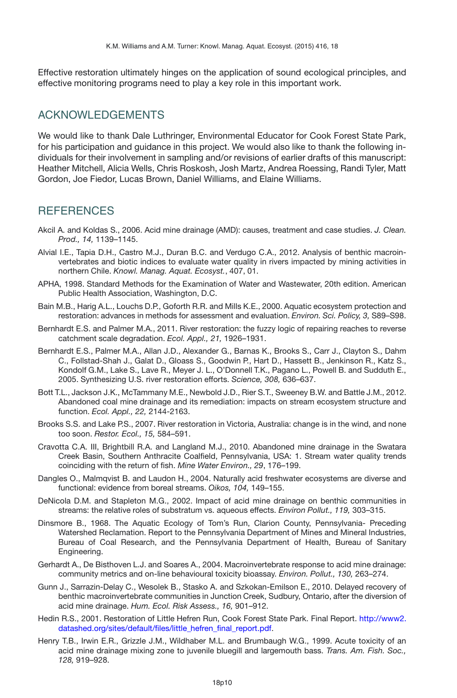Effective restoration ultimately hinges on the application of sound ecological principles, and effective monitoring programs need to play a key role in this important work.

### ACKNOWLEDGEMENTS

We would like to thank Dale Luthringer, Environmental Educator for Cook Forest State Park, for his participation and guidance in this project. We would also like to thank the following individuals for their involvement in sampling and/or revisions of earlier drafts of this manuscript: Heather Mitchell, Alicia Wells, Chris Roskosh, Josh Martz, Andrea Roessing, Randi Tyler, Matt Gordon, Joe Fiedor, Lucas Brown, Daniel Williams, and Elaine Williams.

## **REFERENCES**

- <span id="page-9-0"></span>Akcil A. and Koldas S., 2006. Acid mine drainage (AMD): causes, treatment and case studies. *J. Clean. Prod., 14,* 1139–1145.
- <span id="page-9-3"></span>Alvial I.E., Tapia D.H., Castro M.J., Duran B.C. and Verdugo C.A., 2012. Analysis of benthic macroinvertebrates and biotic indices to evaluate water quality in rivers impacted by mining activities in northern Chile. *Knowl. Manag. Aquat. Ecosyst.*, 407, 01.
- <span id="page-9-6"></span>APHA, 1998. Standard Methods for the Examination of Water and Wastewater, 20th edition. American Public Health Association, Washington, D.C.
- <span id="page-9-10"></span>Bain M.B., Harig A.L., Louchs D.P., Goforth R.R. and Mills K.E., 2000. Aquatic ecosystem protection and restoration: advances in methods for assessment and evaluation. *Environ. Sci. Policy, 3,* S89–S98.
- <span id="page-9-12"></span>Bernhardt E.S. and Palmer M.A., 2011. River restoration: the fuzzy logic of repairing reaches to reverse catchment scale degradation. *Ecol. Appl., 21,* 1926–1931.
- <span id="page-9-13"></span>Bernhardt E.S., Palmer M.A., Allan J.D., Alexander G., Barnas K., Brooks S., Carr J., Clayton S., Dahm C., Follstad-Shah J., Galat D., Gloass S., Goodwin P., Hart D., Hassett B., Jenkinson R., Katz S., Kondolf G.M., Lake S., Lave R., Meyer J. L., O'Donnell T.K., Pagano L., Powell B. and Sudduth E., 2005. Synthesizing U.S. river restoration efforts. *Science, 308,* 636–637.
- <span id="page-9-8"></span>Bott T.L., Jackson J.K., McTammany M.E., Newbold J.D., Rier S.T., Sweeney B.W. and Battle J.M., 2012. Abandoned coal mine drainage and its remediation: impacts on stream ecosystem structure and function. *Ecol. Appl., 22,* 2144-2163.
- <span id="page-9-14"></span>Brooks S.S. and Lake P.S., 2007. River restoration in Victoria, Australia: change is in the wind, and none too soon. *Restor. Ecol., 15,* 584–591.
- <span id="page-9-9"></span>Cravotta C.A. III, Brightbill R.A. and Langland M.J., 2010. Abandoned mine drainage in the Swatara Creek Basin, Southern Anthracite Coalfield, Pennsylvania, USA: 1. Stream water quality trends coinciding with the return of fish. *Mine Water Environ., 29*, 176–199.
- <span id="page-9-11"></span>Dangles O., Malmqvist B. and Laudon H., 2004. Naturally acid freshwater ecosystems are diverse and functional: evidence from boreal streams. *Oikos, 104,* 149–155.
- <span id="page-9-1"></span>DeNicola D.M. and Stapleton M.G., 2002. Impact of acid mine drainage on benthic communities in streams: the relative roles of substratum vs. aqueous effects. *Environ Pollut., 119,* 303–315.
- Dinsmore B., 1968. The Aquatic Ecology of Tom's Run, Clarion County, Pennsylvania- Preceding Watershed Reclamation. Report to the Pennsylvania Department of Mines and Mineral Industries, Bureau of Coal Research, and the Pennsylvania Department of Health, Bureau of Sanitary Engineering.
- <span id="page-9-2"></span>Gerhardt A., De Bisthoven L.J. and Soares A., 2004. Macroinvertebrate response to acid mine drainage: community metrics and on-line behavioural toxicity bioassay. *Environ. Pollut., 130,* 263–274.
- <span id="page-9-7"></span>Gunn J., Sarrazin-Delay C., Wesolek B., Stasko A. and Szkokan-Emilson E., 2010. Delayed recovery of benthic macroinvertebrate communities in Junction Creek, Sudbury, Ontario, after the diversion of acid mine drainage. *Hum. Ecol. Risk Assess., 16,* 901–912.
- <span id="page-9-5"></span>Hedin R.S., 2001. Restoration of Little Hefren Run, Cook Forest State Park. Final Report. [http://www2.](http://www2.datashed.org/sites/default/files/little_hefren_final_report.pdf) [datashed.org/sites/default/files/little\\_hefren\\_final\\_report.pdf.](http://www2.datashed.org/sites/default/files/little_hefren_final_report.pdf)
- <span id="page-9-4"></span>Henry T.B., Irwin E.R., Grizzle J.M., Wildhaber M.L. and Brumbaugh W.G., 1999. Acute toxicity of an acid mine drainage mixing zone to juvenile bluegill and largemouth bass. *Trans. Am. Fish. Soc., 128,* 919–928.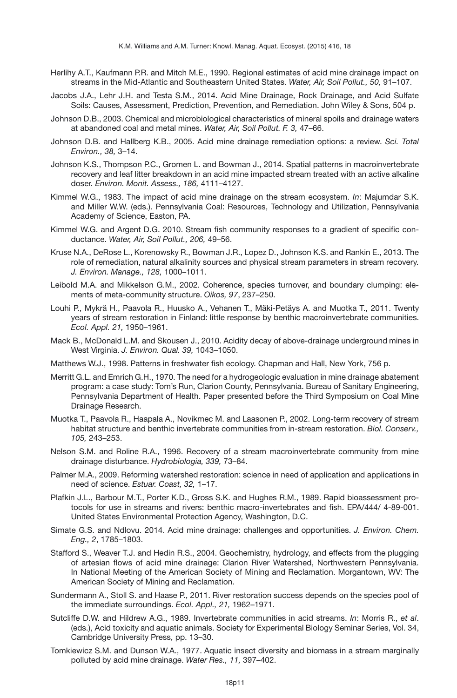- <span id="page-10-1"></span>Herlihy A.T., Kaufmann P.R. and Mitch M.E., 1990. Regional estimates of acid mine drainage impact on streams in the Mid-Atlantic and Southeastern United States. *Water, Air, Soil Pollut., 50,* 91–107.
- <span id="page-10-3"></span>Jacobs J.A., Lehr J.H. and Testa S.M., 2014. Acid Mine Drainage, Rock Drainage, and Acid Sulfate Soils: Causes, Assessment, Prediction, Prevention, and Remediation. John Wiley & Sons, 504 p.
- <span id="page-10-2"></span>Johnson D.B., 2003. Chemical and microbiological characteristics of mineral spoils and drainage waters at abandoned coal and metal mines. *Water, Air, Soil Pollut. F. 3,* 47–66.
- <span id="page-10-4"></span>Johnson D.B. and Hallberg K.B., 2005. Acid mine drainage remediation options: a review. *Sci. Total Environ., 38,* 3–14.
- <span id="page-10-9"></span>Johnson K.S., Thompson P.C., Gromen L. and Bowman J., 2014. Spatial patterns in macroinvertebrate recovery and leaf litter breakdown in an acid mine impacted stream treated with an active alkaline doser. *Environ. Monit. Assess., 186,* 4111–4127.
- <span id="page-10-11"></span>Kimmel W.G., 1983. The impact of acid mine drainage on the stream ecosystem. *In*: Majumdar S.K. and Miller W.W. (eds.). Pennsylvania Coal: Resources, Technology and Utilization, Pennsylvania Academy of Science, Easton, PA.
- <span id="page-10-18"></span>Kimmel W.G. and Argent D.G. 2010. Stream fish community responses to a gradient of specific conductance. *Water, Air, Soil Pollut., 206,* 49–56.
- <span id="page-10-13"></span>Kruse N.A., DeRose L., Korenowsky R., Bowman J.R., Lopez D., Johnson K.S. and Rankin E., 2013. The role of remediation, natural alkalinity sources and physical stream parameters in stream recovery. *J. Environ. Manage., 128,* 1000–1011.
- <span id="page-10-17"></span>Leibold M.A. and Mikkelson G.M., 2002. Coherence, species turnover, and boundary clumping: elements of meta-community structure. *Oikos, 97*, 237–250.
- <span id="page-10-7"></span>Louhi P., Mykrä H., Paavola R., Huusko A., Vehanen T., Mäki-Petäys A. and Muotka T., 2011. Twenty years of stream restoration in Finland: little response by benthic macroinvertebrate communities. *Ecol. Appl. 21,* 1950–1961.
- <span id="page-10-19"></span>Mack B., McDonald L.M. and Skousen J., 2010. Acidity decay of above-drainage underground mines in West Virginia. *J. Environ. Qual. 39,* 1043–1050.
- <span id="page-10-16"></span>Matthews W.J., 1998. Patterns in freshwater fish ecology. Chapman and Hall, New York, 756 p.
- <span id="page-10-5"></span>Merritt G.L. and Emrich G.H., 1970. The need for a hydrogeologic evaluation in mine drainage abatement program: a case study: Tom's Run, Clarion County, Pennsylvania. Bureau of Sanitary Engineering, Pennsylvania Department of Health. Paper presented before the Third Symposium on Coal Mine Drainage Research.
- <span id="page-10-21"></span>Muotka T., Paavola R., Haapala A., Novikmec M. and Laasonen P., 2002. Long-term recovery of stream habitat structure and benthic invertebrate communities from in-stream restoration. *Biol. Conserv., 105,* 243–253.
- <span id="page-10-12"></span>Nelson S.M. and Roline R.A., 1996. Recovery of a stream macroinvertebrate community from mine drainage disturbance. *Hydrobiologia, 339,* 73–84.
- <span id="page-10-20"></span>Palmer M.A., 2009. Reforming watershed restoration: science in need of application and applications in need of science. *Estuar. Coast, 32,* 1–17.
- <span id="page-10-14"></span>Plafkin J.L., Barbour M.T., Porter K.D., Gross S.K. and Hughes R.M., 1989. Rapid bioassessment protocols for use in streams and rivers: benthic macro-invertebrates and fish. EPA/444/ 4-89-001. United States Environmental Protection Agency, Washington, D.C.
- <span id="page-10-0"></span>Simate G.S. and Ndlovu. 2014. Acid mine drainage: challenges and opportunities. *J. Environ. Chem. Eng., 2*, 1785–1803.
- <span id="page-10-6"></span>Stafford S., Weaver T.J. and Hedin R.S., 2004. Geochemistry, hydrology, and effects from the plugging of artesian flows of acid mine drainage: Clarion River Watershed, Northwestern Pennsylvania. In National Meeting of the American Society of Mining and Reclamation. Morgantown, WV: The American Society of Mining and Reclamation.
- <span id="page-10-8"></span>Sundermann A., Stoll S. and Haase P., 2011. River restoration success depends on the species pool of the immediate surroundings. *Ecol. Appl., 21,* 1962–1971.
- <span id="page-10-15"></span>Sutcliffe D.W. and Hildrew A.G., 1989. Invertebrate communities in acid streams. *In*: Morris R., *et al*. (eds.), Acid toxicity and aquatic animals. Society for Experimental Biology Seminar Series, Vol. 34, Cambridge University Press, pp. 13–30.
- <span id="page-10-10"></span>Tomkiewicz S.M. and Dunson W.A., 1977. Aquatic insect diversity and biomass in a stream marginally polluted by acid mine drainage. *Water Res., 11,* 397–402.